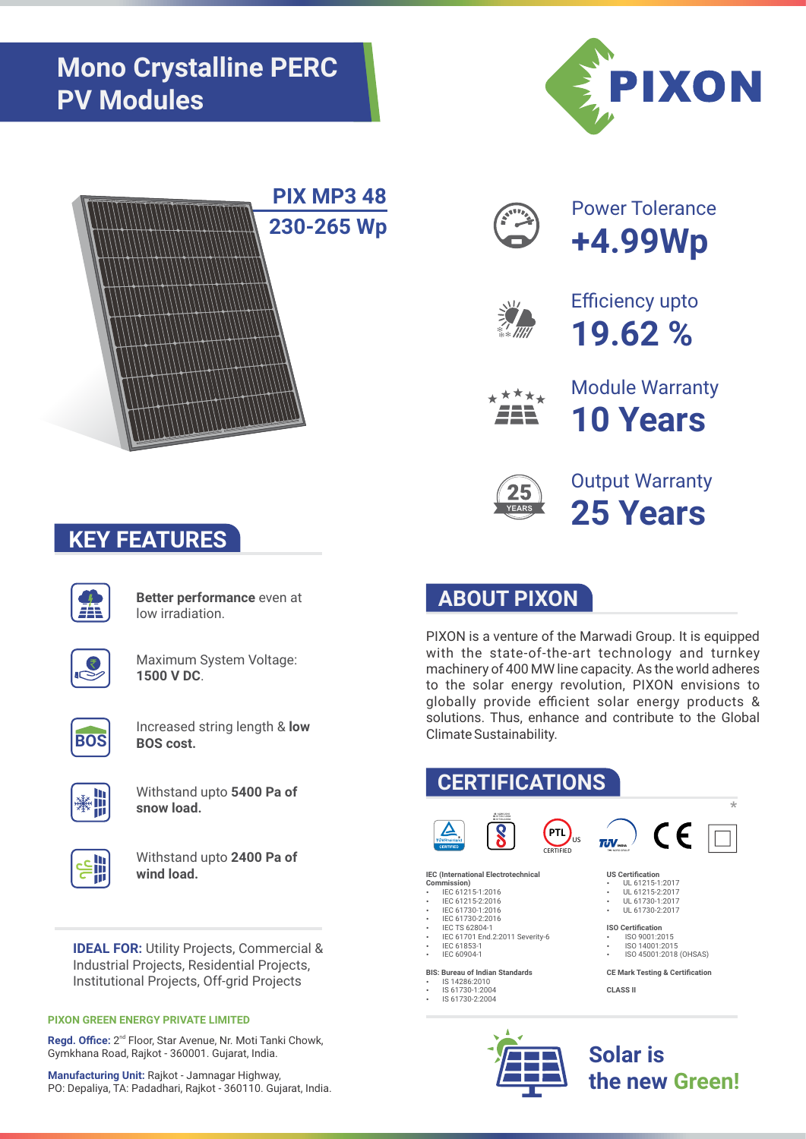





**Better performance** even at low irradiation.



Maximum System Voltage: **1500 V DC**.



Increased string length & **low BOS cost.** 



Withstand upto **5400 Pa of snow load.** 



Withstand upto **2400 Pa of wind load.** 

**IDEAL FOR:** Utility Projects, Commercial & Industrial Projects, Residential Projects, Institutional Projects, Off-grid Projects

## **PIXON GREEN ENERGY PRIVATE LIMITED**

Regd. Office: 2<sup>nd</sup> Floor, Star Avenue, Nr. Moti Tanki Chowk, Gymkhana Road, Rajkot - 360001. Gujarat, India.

**Manufacturing Unit:** Rajkot - Jamnagar Highway, PO: Depaliya, TA: Padadhari, Rajkot - 360110. Gujarat, India.





Power Tolerance **+4.99Wp**



Efficiency upto **19.62 %**



Module Warranty **10 Years**



Output Warranty **25 Years**

## **ABOUT PIXON**

PIXON is a venture of the Marwadi Group. It is equipped with the state-of-the-art technology and turnkey machinery of 400 MW line capacity. As the world adheres to the solar energy revolution, PIXON envisions to globally provide efficient solar energy products & solutions. Thus, enhance and contribute to the Global Climate Sustainability.

## **CERTIFICATIONS**  \* **IS** 14286:2010 **IS** 61730-1:2004 **IS** 61730-2:2004  $C \in$ **PTL**  $\overline{I}$ <sub>I</sub> $\overline{V}$ <sub>Isox</sub> US CERTIFIED TUV NORD GROUP **IEC (International Electrotechnical US Certification Commission)**<br> **•** IEC 61215-1:2016 v UL 61215-1:2017<br>VL 61215-2:2017 IEC 61215-2:2016 UL 61730-1:2017 UL 61730-2:2017 • IEC 61730-1:2016<br>• IEC 61730-2:2016 **ISO Certification IEC TS 62804-1** IEC 61701 End.2:2011 Severity-6 \* ISO 9001:2015<br>\* ISO 14001:2015 IEC 61853-1

**ISO 45001:2018 (OHSAS)** 

**CE Mark Testing & Certification**





IEC 60904-1 **BIS: Bureau of Indian Standards** IS 14286:2010 IS 61730-1:2004 IS 61730-2:2004

> **Solar is the new Green!**